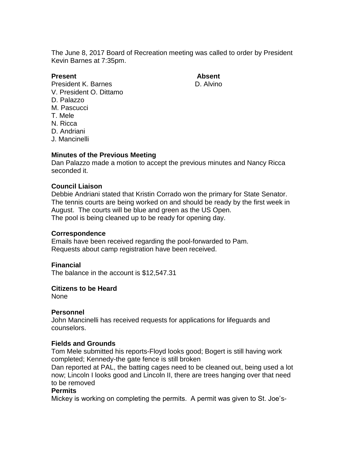The June 8, 2017 Board of Recreation meeting was called to order by President Kevin Barnes at 7:35pm.

## **Present Absent**

President K. Barnes **D. Alvino** V. President O. Dittamo D. Palazzo M. Pascucci T. Mele

- N. Ricca
- D. Andriani
- J. Mancinelli

# **Minutes of the Previous Meeting**

Dan Palazzo made a motion to accept the previous minutes and Nancy Ricca seconded it.

# **Council Liaison**

Debbie Andriani stated that Kristin Corrado won the primary for State Senator. The tennis courts are being worked on and should be ready by the first week in August. The courts will be blue and green as the US Open. The pool is being cleaned up to be ready for opening day.

### **Correspondence**

Emails have been received regarding the pool-forwarded to Pam. Requests about camp registration have been received.

### **Financial**

The balance in the account is \$12,547.31

### **Citizens to be Heard**

None

### **Personnel**

John Mancinelli has received requests for applications for lifeguards and counselors.

### **Fields and Grounds**

Tom Mele submitted his reports-Floyd looks good; Bogert is still having work completed; Kennedy-the gate fence is still broken

Dan reported at PAL, the batting cages need to be cleaned out, being used a lot now; Lincoln I looks good and Lincoln II, there are trees hanging over that need to be removed

### **Permits**

Mickey is working on completing the permits. A permit was given to St. Joe's-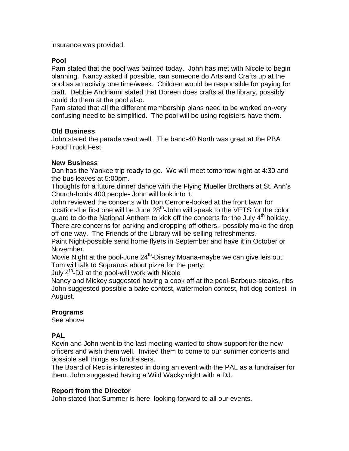insurance was provided.

## **Pool**

Pam stated that the pool was painted today. John has met with Nicole to begin planning. Nancy asked if possible, can someone do Arts and Crafts up at the pool as an activity one time/week. Children would be responsible for paying for craft. Debbie Andrianni stated that Doreen does crafts at the library, possibly could do them at the pool also.

Pam stated that all the different membership plans need to be worked on-very confusing-need to be simplified. The pool will be using registers-have them.

### **Old Business**

John stated the parade went well. The band-40 North was great at the PBA Food Truck Fest.

### **New Business**

Dan has the Yankee trip ready to go. We will meet tomorrow night at 4:30 and the bus leaves at 5:00pm.

Thoughts for a future dinner dance with the Flying Mueller Brothers at St. Ann's Church-holds 400 people- John will look into it.

John reviewed the concerts with Don Cerrone-looked at the front lawn for location-the first one will be June  $28<sup>th</sup>$ -John will speak to the VETS for the color guard to do the National Anthem to kick off the concerts for the July  $4<sup>th</sup>$  holiday.

There are concerns for parking and dropping off others.- possibly make the drop off one way. The Friends of the Library will be selling refreshments.

Paint Night-possible send home flyers in September and have it in October or November.

Movie Night at the pool-June 24<sup>th</sup>-Disney Moana-maybe we can give leis out. Tom will talk to Sopranos about pizza for the party.

July 4<sup>th</sup>-DJ at the pool-will work with Nicole

Nancy and Mickey suggested having a cook off at the pool-Barbque-steaks, ribs John suggested possible a bake contest, watermelon contest, hot dog contest- in August.

### **Programs**

See above

### **PAL**

Kevin and John went to the last meeting-wanted to show support for the new officers and wish them well. Invited them to come to our summer concerts and possible sell things as fundraisers.

The Board of Rec is interested in doing an event with the PAL as a fundraiser for them. John suggested having a Wild Wacky night with a DJ.

### **Report from the Director**

John stated that Summer is here, looking forward to all our events.